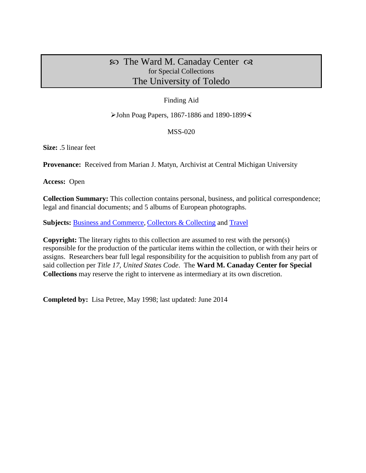# $\infty$  The Ward M. Canaday Center  $\infty$ for Special Collections The University of Toledo

## Finding Aid

### $\blacktriangleright$  John Poag Papers, 1867-1886 and 1890-1899 $\blacktriangleleft$

## MSS-020

**Size:** .5 linear feet

**Provenance:** Received from Marian J. Matyn, Archivist at Central Michigan University

**Access:** Open

**Collection Summary:** This collection contains personal, business, and political correspondence; legal and financial documents; and 5 albums of European photographs.

Subjects: **Business and Commerce**, [Collectors & Collecting](http://www.utoledo.edu/library/canaday/guidepages/collectors.html) and [Travel](http://www.utoledo.edu/library/canaday/guidepages/travel.html)

**Copyright:** The literary rights to this collection are assumed to rest with the person(s) responsible for the production of the particular items within the collection, or with their heirs or assigns. Researchers bear full legal responsibility for the acquisition to publish from any part of said collection per *Title 17, United States Code*. The **Ward M. Canaday Center for Special Collections** may reserve the right to intervene as intermediary at its own discretion.

**Completed by:** Lisa Petree, May 1998; last updated: June 2014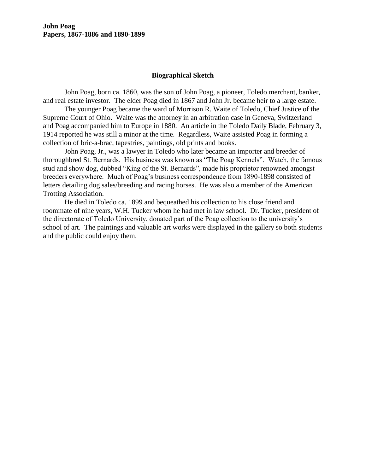### **Biographical Sketch**

John Poag, born ca. 1860, was the son of John Poag, a pioneer, Toledo merchant, banker, and real estate investor. The elder Poag died in 1867 and John Jr. became heir to a large estate.

The younger Poag became the ward of Morrison R. Waite of Toledo, Chief Justice of the Supreme Court of Ohio. Waite was the attorney in an arbitration case in Geneva, Switzerland and Poag accompanied him to Europe in 1880. An article in the Toledo Daily Blade, February 3, 1914 reported he was still a minor at the time. Regardless, Waite assisted Poag in forming a collection of bric-a-brac, tapestries, paintings, old prints and books.

John Poag, Jr., was a lawyer in Toledo who later became an importer and breeder of thoroughbred St. Bernards. His business was known as "The Poag Kennels". Watch, the famous stud and show dog, dubbed "King of the St. Bernards", made his proprietor renowned amongst breeders everywhere. Much of Poag's business correspondence from 1890-1898 consisted of letters detailing dog sales/breeding and racing horses. He was also a member of the American Trotting Association.

He died in Toledo ca. 1899 and bequeathed his collection to his close friend and roommate of nine years, W.H. Tucker whom he had met in law school. Dr. Tucker, president of the directorate of Toledo University, donated part of the Poag collection to the university's school of art. The paintings and valuable art works were displayed in the gallery so both students and the public could enjoy them.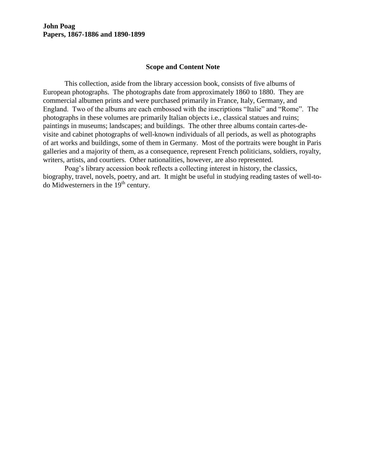### **Scope and Content Note**

This collection, aside from the library accession book, consists of five albums of European photographs. The photographs date from approximately 1860 to 1880. They are commercial albumen prints and were purchased primarily in France, Italy, Germany, and England. Two of the albums are each embossed with the inscriptions "Italie" and "Rome". The photographs in these volumes are primarily Italian objects i.e., classical statues and ruins; paintings in museums; landscapes; and buildings. The other three albums contain cartes-devisite and cabinet photographs of well-known individuals of all periods, as well as photographs of art works and buildings, some of them in Germany. Most of the portraits were bought in Paris galleries and a majority of them, as a consequence, represent French politicians, soldiers, royalty, writers, artists, and courtiers. Other nationalities, however, are also represented.

Poag's library accession book reflects a collecting interest in history, the classics, biography, travel, novels, poetry, and art. It might be useful in studying reading tastes of well-todo Midwesterners in the  $19<sup>th</sup>$  century.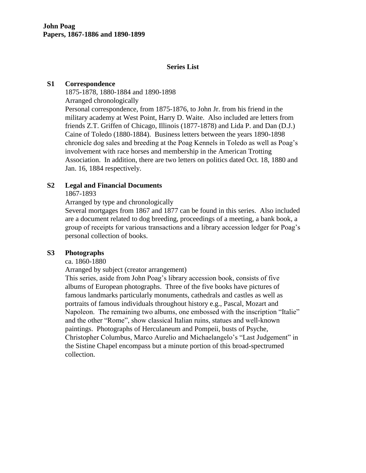### **Series List**

#### **S1 Correspondence**

1875-1878, 1880-1884 and 1890-1898 Arranged chronologically

Personal correspondence, from 1875-1876, to John Jr. from his friend in the military academy at West Point, Harry D. Waite. Also included are letters from friends Z.T. Griffen of Chicago, Illinois (1877-1878) and Lida P. and Dan (D.J.) Caine of Toledo (1880-1884). Business letters between the years 1890-1898 chronicle dog sales and breeding at the Poag Kennels in Toledo as well as Poag's involvement with race horses and membership in the American Trotting Association. In addition, there are two letters on politics dated Oct. 18, 1880 and Jan. 16, 1884 respectively.

#### **S2 Legal and Financial Documents**

### 1867-1893

Arranged by type and chronologically

Several mortgages from 1867 and 1877 can be found in this series. Also included are a document related to dog breeding, proceedings of a meeting, a bank book, a group of receipts for various transactions and a library accession ledger for Poag's personal collection of books.

### **S3 Photographs**

### ca. 1860-1880

Arranged by subject (creator arrangement)

This series, aside from John Poag's library accession book, consists of five albums of European photographs. Three of the five books have pictures of famous landmarks particularly monuments, cathedrals and castles as well as portraits of famous individuals throughout history e.g., Pascal, Mozart and Napoleon. The remaining two albums, one embossed with the inscription "Italie" and the other "Rome", show classical Italian ruins, statues and well-known paintings. Photographs of Herculaneum and Pompeii, busts of Psyche, Christopher Columbus, Marco Aurelio and Michaelangelo's "Last Judgement" in the Sistine Chapel encompass but a minute portion of this broad-spectrumed collection.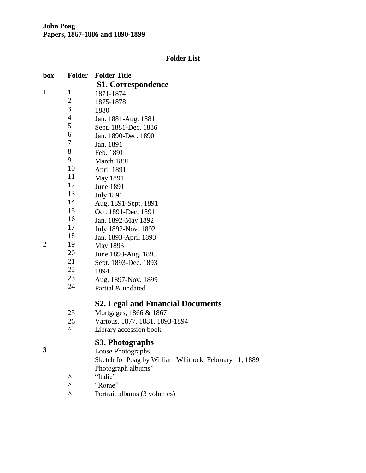# **Folder List**

| box            | <b>Folder</b>  | <b>Folder Title</b>                                                          |
|----------------|----------------|------------------------------------------------------------------------------|
|                |                | <b>S1. Correspondence</b>                                                    |
| $\mathbf{1}$   | $\mathbf{1}$   | 1871-1874                                                                    |
|                | $\overline{2}$ | 1875-1878                                                                    |
|                | 3              | 1880                                                                         |
|                | $\overline{4}$ | Jan. 1881-Aug. 1881                                                          |
|                | 5              | Sept. 1881-Dec. 1886                                                         |
|                | 6              | Jan. 1890-Dec. 1890                                                          |
|                | 7              | Jan. 1891                                                                    |
|                | 8              | Feb. 1891                                                                    |
|                | 9              | March 1891                                                                   |
|                | 10             | April 1891                                                                   |
|                | 11             | May 1891                                                                     |
|                | 12             | June 1891                                                                    |
|                | 13             | <b>July 1891</b>                                                             |
|                | 14             | Aug. 1891-Sept. 1891                                                         |
|                | 15             | Oct. 1891-Dec. 1891                                                          |
|                | 16             | Jan. 1892-May 1892                                                           |
|                | 17             | July 1892-Nov. 1892                                                          |
|                | 18             | Jan. 1893-April 1893                                                         |
| $\overline{2}$ | 19             | May 1893                                                                     |
|                | 20             | June 1893-Aug. 1893                                                          |
|                | 21             | Sept. 1893-Dec. 1893                                                         |
|                | 22             | 1894                                                                         |
|                | 23             | Aug. 1897-Nov. 1899                                                          |
|                | 24             | Partial & undated                                                            |
|                |                | <b>S2. Legal and Financial Documents</b>                                     |
|                | 25             | Mortgages, 1866 & 1867                                                       |
|                | 26             | Various, 1877, 1881, 1893-1894                                               |
|                | ν              | Library accession book                                                       |
|                |                | S3. Photographs                                                              |
| 3              |                | Loose Photographs                                                            |
|                |                | Sketch for Poag by William Whitlock, February 11, 1889<br>Photograph albums" |

- **^** "Italie"
- **^** "Rome"
- **^** Portrait albums (3 volumes)

2